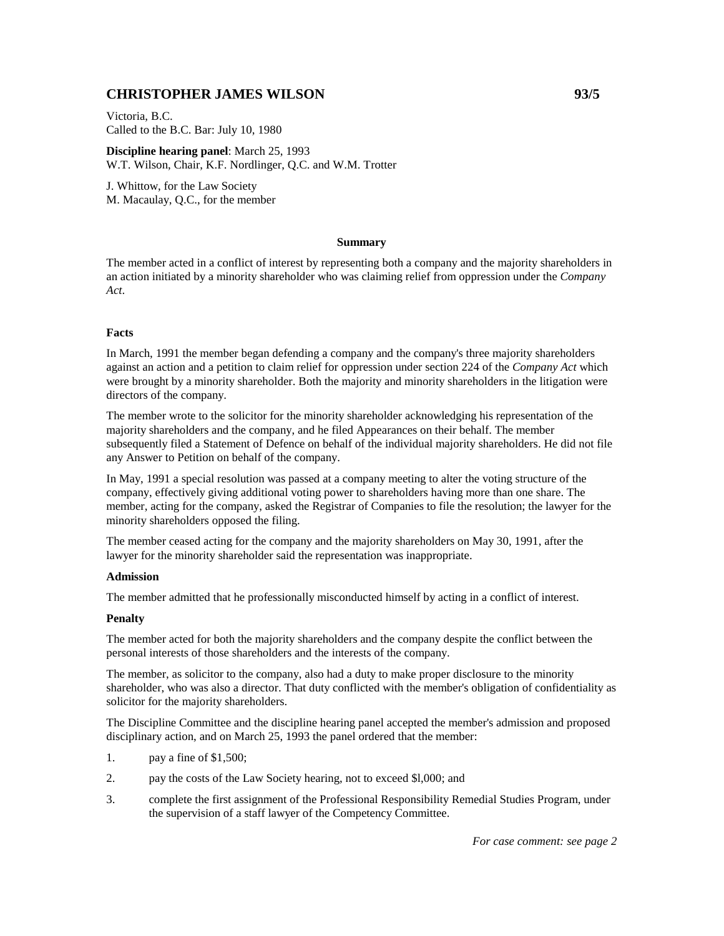# **CHRISTOPHER JAMES WILSON 93/5**

Victoria, B.C. Called to the B.C. Bar: July 10, 1980

**Discipline hearing panel**: March 25, 1993 W.T. Wilson, Chair, K.F. Nordlinger, Q.C. and W.M. Trotter

J. Whittow, for the Law Society M. Macaulay, Q.C., for the member

## **Summary**

The member acted in a conflict of interest by representing both a company and the majority shareholders in an action initiated by a minority shareholder who was claiming relief from oppression under the *Company Act*.

# **Facts**

In March, 1991 the member began defending a company and the company's three majority shareholders against an action and a petition to claim relief for oppression under section 224 of the *Company Act* which were brought by a minority shareholder. Both the majority and minority shareholders in the litigation were directors of the company.

The member wrote to the solicitor for the minority shareholder acknowledging his representation of the majority shareholders and the company, and he filed Appearances on their behalf. The member subsequently filed a Statement of Defence on behalf of the individual majority shareholders. He did not file any Answer to Petition on behalf of the company.

In May, 1991 a special resolution was passed at a company meeting to alter the voting structure of the company, effectively giving additional voting power to shareholders having more than one share. The member, acting for the company, asked the Registrar of Companies to file the resolution; the lawyer for the minority shareholders opposed the filing.

The member ceased acting for the company and the majority shareholders on May 30, 1991, after the lawyer for the minority shareholder said the representation was inappropriate.

#### **Admission**

The member admitted that he professionally misconducted himself by acting in a conflict of interest.

# **Penalty**

The member acted for both the majority shareholders and the company despite the conflict between the personal interests of those shareholders and the interests of the company.

The member, as solicitor to the company, also had a duty to make proper disclosure to the minority shareholder, who was also a director. That duty conflicted with the member's obligation of confidentiality as solicitor for the majority shareholders.

The Discipline Committee and the discipline hearing panel accepted the member's admission and proposed disciplinary action, and on March 25, 1993 the panel ordered that the member:

- 1. pay a fine of \$1,500;
- 2. pay the costs of the Law Society hearing, not to exceed \$l,000; and
- 3. complete the first assignment of the Professional Responsibility Remedial Studies Program, under the supervision of a staff lawyer of the Competency Committee.